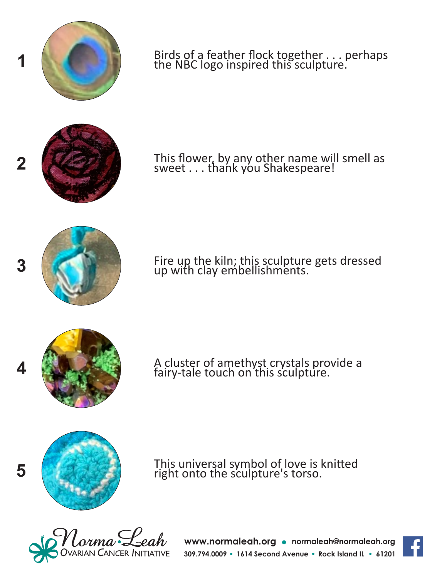

**www.normaleah.org normaleah@normaleah.org** 309.794.0009 • 1614 Second Avenue • Rock Island IL • 61201



This universal symbol of love is knitted

right onto the sculpture's torso.

A cluster of amethyst crystals provide a fairy-tale touch on this sculpture.



- Fire up the kiln; this sculpture gets dressed up with clay embellishments.
- 





Birds of a feather flock together . . . perhaps the NBC logo inspired this sculpture.

**4**

**5**

**1**

**2**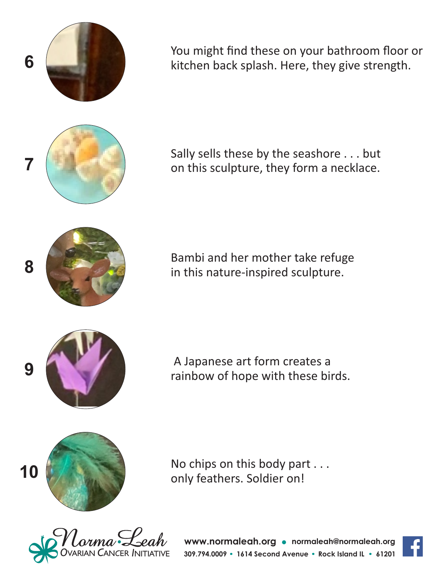

You might find these on your bathroom floor or kitchen back splash. Here, they give strength.

Sally sells these by the seashore . . . but on this sculpture, they form a necklace.

Bambi and her mother take refuge in this nature-inspired sculpture.

 A Japanese art form creates a rainbow of hope with these birds.



No chips on this body part . . . only feathers. Soldier on!